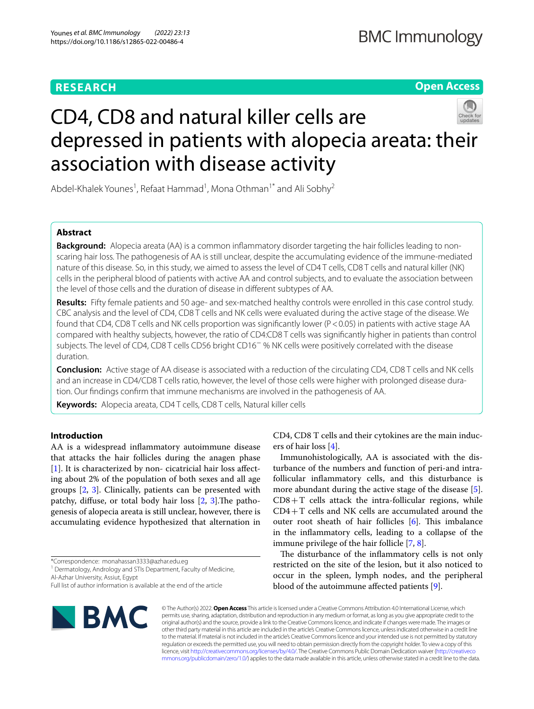# **RESEARCH**

**Open Access**

# CD4, CD8 and natural killer cells are depressed in patients with alopecia areata: their association with disease activity

Abdel-Khalek Younes<sup>1</sup>, Refaat Hammad<sup>1</sup>, Mona Othman<sup>1\*</sup> and Ali Sobhy<sup>2</sup>

# **Abstract**

**Background:** Alopecia areata (AA) is a common infammatory disorder targeting the hair follicles leading to nonscaring hair loss. The pathogenesis of AA is still unclear, despite the accumulating evidence of the immune-mediated nature of this disease. So, in this study, we aimed to assess the level of CD4 T cells, CD8 T cells and natural killer (NK) cells in the peripheral blood of patients with active AA and control subjects, and to evaluate the association between the level of those cells and the duration of disease in diferent subtypes of AA.

**Results:** Fifty female patients and 50 age- and sex-matched healthy controls were enrolled in this case control study. CBC analysis and the level of CD4, CD8 T cells and NK cells were evaluated during the active stage of the disease. We found that CD4, CD8 T cells and NK cells proportion was signifcantly lower (P<0.05) in patients with active stage AA compared with healthy subjects, however, the ratio of CD4:CD8 T cells was signifcantly higher in patients than control subjects. The level of CD4, CD8 T cells CD56 bright CD16− % NK cells were positively correlated with the disease duration.

**Conclusion:** Active stage of AA disease is associated with a reduction of the circulating CD4, CD8 T cells and NK cells and an increase in CD4/CD8 T cells ratio, however, the level of those cells were higher with prolonged disease duration. Our fndings confrm that immune mechanisms are involved in the pathogenesis of AA.

**Keywords:** Alopecia areata, CD4 T cells, CD8 T cells, Natural killer cells

# **Introduction**

AA is a widespread infammatory autoimmune disease that attacks the hair follicles during the anagen phase [[1\]](#page-5-0). It is characterized by non-cicatricial hair loss affecting about 2% of the population of both sexes and all age groups [[2,](#page-5-1) [3](#page-5-2)]. Clinically, patients can be presented with patchy, diffuse, or total body hair loss  $[2, 3]$  $[2, 3]$  $[2, 3]$  $[2, 3]$ . The pathogenesis of alopecia areata is still unclear, however, there is accumulating evidence hypothesized that alternation in

Full list of author information is available at the end of the article



CD4, CD8 T cells and their cytokines are the main inducers of hair loss [[4\]](#page-5-3).

Immunohistologically, AA is associated with the disturbance of the numbers and function of peri-and intrafollicular infammatory cells, and this disturbance is more abundant during the active stage of the disease [\[5](#page-6-0)].  $CD8+T$  cells attack the intra-follicular regions, while CD4+T cells and NK cells are accumulated around the outer root sheath of hair follicles  $[6]$ . This imbalance in the infammatory cells, leading to a collapse of the immune privilege of the hair follicle [[7,](#page-6-2) [8](#page-6-3)].

The disturbance of the inflammatory cells is not only restricted on the site of the lesion, but it also noticed to occur in the spleen, lymph nodes, and the peripheral blood of the autoimmune afected patients [[9](#page-6-4)].

© The Author(s) 2022. **Open Access** This article is licensed under a Creative Commons Attribution 4.0 International License, which permits use, sharing, adaptation, distribution and reproduction in any medium or format, as long as you give appropriate credit to the original author(s) and the source, provide a link to the Creative Commons licence, and indicate if changes were made. The images or other third party material in this article are included in the article's Creative Commons licence, unless indicated otherwise in a credit line to the material. If material is not included in the article's Creative Commons licence and your intended use is not permitted by statutory regulation or exceeds the permitted use, you will need to obtain permission directly from the copyright holder. To view a copy of this licence, visit [http://creativecommons.org/licenses/by/4.0/.](http://creativecommons.org/licenses/by/4.0/) The Creative Commons Public Domain Dedication waiver ([http://creativeco](http://creativecommons.org/publicdomain/zero/1.0/) [mmons.org/publicdomain/zero/1.0/](http://creativecommons.org/publicdomain/zero/1.0/)) applies to the data made available in this article, unless otherwise stated in a credit line to the data.

<sup>\*</sup>Correspondence: monahassan3333@azhar.edu.eg

<sup>&</sup>lt;sup>1</sup> Dermatology, Andrology and STIs Department, Faculty of Medicine, Al-Azhar University, Assiut, Egypt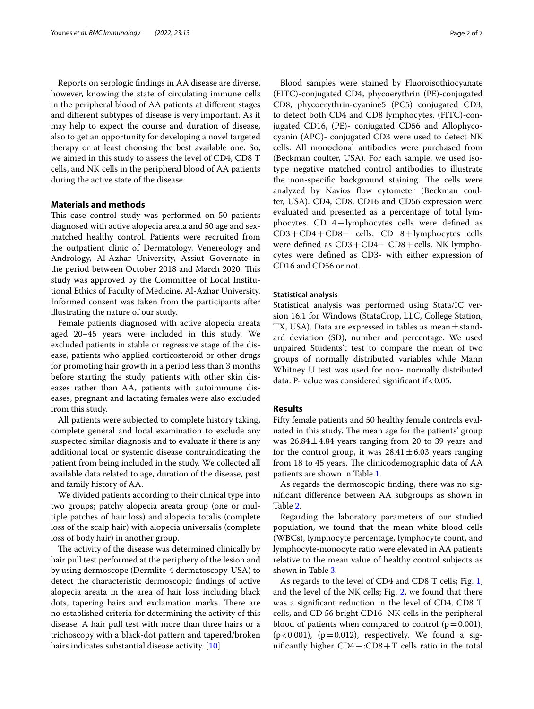Reports on serologic fndings in AA disease are diverse, however, knowing the state of circulating immune cells in the peripheral blood of AA patients at diferent stages and diferent subtypes of disease is very important. As it may help to expect the course and duration of disease, also to get an opportunity for developing a novel targeted therapy or at least choosing the best available one. So, we aimed in this study to assess the level of CD4, CD8 T cells, and NK cells in the peripheral blood of AA patients during the active state of the disease.

# **Materials and methods**

This case control study was performed on 50 patients diagnosed with active alopecia areata and 50 age and sexmatched healthy control. Patients were recruited from the outpatient clinic of Dermatology, Venereology and Andrology, Al-Azhar University, Assiut Governate in the period between October 2018 and March 2020. This study was approved by the Committee of Local Institutional Ethics of Faculty of Medicine, Al-Azhar University. Informed consent was taken from the participants after illustrating the nature of our study.

Female patients diagnosed with active alopecia areata aged 20–45 years were included in this study. We excluded patients in stable or regressive stage of the disease, patients who applied corticosteroid or other drugs for promoting hair growth in a period less than 3 months before starting the study, patients with other skin diseases rather than AA, patients with autoimmune diseases, pregnant and lactating females were also excluded from this study.

All patients were subjected to complete history taking, complete general and local examination to exclude any suspected similar diagnosis and to evaluate if there is any additional local or systemic disease contraindicating the patient from being included in the study. We collected all available data related to age, duration of the disease, past and family history of AA.

We divided patients according to their clinical type into two groups; patchy alopecia areata group (one or multiple patches of hair loss) and alopecia totalis (complete loss of the scalp hair) with alopecia universalis (complete loss of body hair) in another group.

The activity of the disease was determined clinically by hair pull test performed at the periphery of the lesion and by using dermoscope (Dermlite-4 dermatoscopy-USA) to detect the characteristic dermoscopic fndings of active alopecia areata in the area of hair loss including black dots, tapering hairs and exclamation marks. There are no established criteria for determining the activity of this disease. A hair pull test with more than three hairs or a trichoscopy with a black-dot pattern and tapered/broken hairs indicates substantial disease activity. [[10\]](#page-6-5)

Blood samples were stained by Fluoroisothiocyanate (FITC)-conjugated CD4, phycoerythrin (PE)-conjugated CD8, phycoerythrin-cyanine5 (PC5) conjugated CD3, to detect both CD4 and CD8 lymphocytes. (FITC)-conjugated CD16, (PE)- conjugated CD56 and Allophycocyanin (APC)- conjugated CD3 were used to detect NK cells. All monoclonal antibodies were purchased from (Beckman coulter, USA). For each sample, we used isotype negative matched control antibodies to illustrate the non-specific background staining. The cells were analyzed by Navios flow cytometer (Beckman coulter, USA). CD4, CD8, CD16 and CD56 expression were evaluated and presented as a percentage of total lymphocytes. CD 4+lymphocytes cells were defned as CD3+CD4+CD8− cells. CD 8+lymphocytes cells were defned as CD3+CD4− CD8+cells. NK lymphocytes were defned as CD3- with either expression of CD16 and CD56 or not.

# **Statistical analysis**

Statistical analysis was performed using Stata/IC version 16.1 for Windows (StataCrop, LLC, College Station, TX, USA). Data are expressed in tables as mean $\pm$ standard deviation (SD), number and percentage. We used unpaired Students't test to compare the mean of two groups of normally distributed variables while Mann Whitney U test was used for non- normally distributed data. P- value was considered significant if < 0.05.

# **Results**

Fifty female patients and 50 healthy female controls evaluated in this study. The mean age for the patients' group was  $26.84 \pm 4.84$  years ranging from 20 to 39 years and for the control group, it was  $28.41 \pm 6.03$  years ranging from 18 to 45 years. The clinicodemographic data of AA patients are shown in Table [1](#page-2-0).

As regards the dermoscopic fnding, there was no signifcant diference between AA subgroups as shown in Table [2](#page-2-1).

Regarding the laboratory parameters of our studied population, we found that the mean white blood cells (WBCs), lymphocyte percentage, lymphocyte count, and lymphocyte-monocyte ratio were elevated in AA patients relative to the mean value of healthy control subjects as shown in Table [3.](#page-2-2)

As regards to the level of CD4 and CD8 T cells; Fig. [1](#page-3-0), and the level of the NK cells; Fig. [2](#page-3-1), we found that there was a signifcant reduction in the level of CD4, CD8 T cells, and CD 56 bright CD16- NK cells in the peripheral blood of patients when compared to control  $(p=0.001)$ ,  $(p<0.001)$ ,  $(p=0.012)$ , respectively. We found a significantly higher  $CD4+:CD8+T$  cells ratio in the total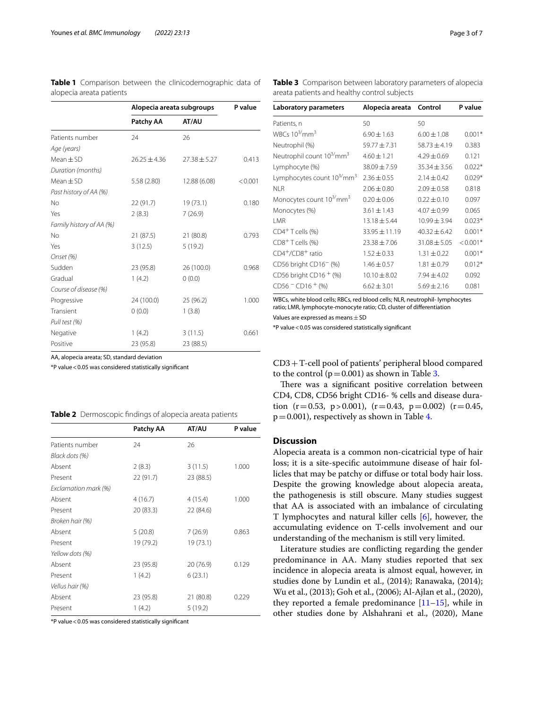<span id="page-2-0"></span>**Table 1** Comparison between the clinicodemographic data of alopecia areata patients

|                          | Alopecia areata subgroups |                  | P value |
|--------------------------|---------------------------|------------------|---------|
|                          | Patchy AA                 | AT/AU            |         |
| Patients number          | 24                        | 26               |         |
| Age (years)              |                           |                  |         |
| $Mean \pm SD$            | $26.25 \pm 4.36$          | $27.38 \pm 5.27$ | 0.413   |
| Duration (months)        |                           |                  |         |
| $Mean \pm SD$            | 5.58 (2.80)               | 12.88 (6.08)     | < 0.001 |
| Past history of AA (%)   |                           |                  |         |
| No                       | 22 (91.7)                 | 19(73.1)         | 0.180   |
| Yes                      | 2(8.3)                    | 7(26.9)          |         |
| Family history of AA (%) |                           |                  |         |
| No                       | 21(87.5)                  | 21 (80.8)        | 0.793   |
| Yes                      | 3(12.5)                   | 5(19.2)          |         |
| Onset (%)                |                           |                  |         |
| Sudden                   | 23 (95.8)                 | 26 (100.0)       | 0.968   |
| Gradual                  | 1(4.2)                    | 0(0.0)           |         |
| Course of disease (%)    |                           |                  |         |
| Progressive              | 24 (100.0)                | 25 (96.2)        | 1.000   |
| Transient                | 0(0.0)                    | 1(3.8)           |         |
| Pull test (%)            |                           |                  |         |
| Negative                 | 1(4.2)                    | 3(11.5)          | 0.661   |
| Positive                 | 23 (95.8)                 | 23 (88.5)        |         |

AA, alopecia areata; SD, standard deviation

\*P value<0.05 was considered statistically signifcant

<span id="page-2-1"></span>

|  |  |  |  | Table 2 Dermoscopic findings of alopecia areata patients |  |
|--|--|--|--|----------------------------------------------------------|--|
|--|--|--|--|----------------------------------------------------------|--|

|                      | Patchy AA | AT/AU     | P value |
|----------------------|-----------|-----------|---------|
| Patients number      | 24        | 26        |         |
| Black dots (%)       |           |           |         |
| Absent               | 2(8.3)    | 3(11.5)   | 1.000   |
| Present              | 22 (91.7) | 23 (88.5) |         |
| Exclamation mark (%) |           |           |         |
| Absent               | 4(16.7)   | 4(15.4)   | 1.000   |
| Present              | 20 (83.3) | 22 (84.6) |         |
| Broken hair (%)      |           |           |         |
| Absent               | 5(20.8)   | 7(26.9)   | 0.863   |
| Present              | 19 (79.2) | 19 (73.1) |         |
| Yellow dots (%)      |           |           |         |
| Absent               | 23 (95.8) | 20 (76.9) | 0.129   |
| Present              | 1(4.2)    | 6(23.1)   |         |
| Vellus hair (%)      |           |           |         |
| Absent               | 23 (95.8) | 21 (80.8) | 0.229   |
| Present              | 1(4.2)    | 5(19.2)   |         |

\*P value<0.05 was considered statistically signifcant

<span id="page-2-2"></span>**Table 3** Comparison between laboratory parameters of alopecia areata patients and healthy control subjects

| Laboratory parameters                              | Alopecia areata Control |                  | P value    |
|----------------------------------------------------|-------------------------|------------------|------------|
| Patients, n                                        | 50                      | 50               |            |
| WBCs $10^{3}/$ mm <sup>3</sup>                     | $6.90 \pm 1.63$         | $6.00 \pm 1.08$  | $0.001*$   |
| Neutrophil (%)                                     | $59.77 \pm 7.31$        | $58.73 \pm 4.19$ | 0.383      |
| Neutrophil count 10 <sup>3/</sup> mm <sup>3</sup>  | $4.60 \pm 1.21$         | $4.29 \pm 0.69$  | 0.121      |
| Lymphocyte (%)                                     | $38.09 \pm 7.59$        | $35.34 + 3.56$   | $0.022*$   |
| Lymphocytes count 10 <sup>3/</sup> mm <sup>3</sup> | $2.36 \pm 0.55$         | $2.14 \pm 0.42$  | $0.029*$   |
| NI R                                               | $2.06 \pm 0.80$         | $2.09 \pm 0.58$  | 0.818      |
| Monocytes count 10 <sup>3/</sup> mm <sup>3</sup>   | $0.20 \pm 0.06$         | $0.22 \pm 0.10$  | 0.097      |
| Monocytes (%)                                      | $3.61 \pm 1.43$         | $4.07 \pm 0.99$  | 0.065      |
| I MR                                               | $13.18 + 5.44$          | $10.99 + 3.94$   | $0.023*$   |
| $CD4+T$ cells $(%)$                                | 33.95 ± 11.19           | $40.32 \pm 6.42$ | $0.001*$   |
| $CD8+$ T cells $(\%)$                              | $23.38 \pm 7.06$        | $31.08 + 5.05$   | $< 0.001*$ |
| CD4 <sup>+</sup> /CD8 <sup>+</sup> ratio           | $1.52 \pm 0.33$         | $1.31 \pm 0.22$  | $0.001*$   |
| CD56 bright CD16 <sup>-</sup> (%)                  | $1.46 \pm 0.57$         | $1.81 \pm 0.79$  | $0.012*$   |
| CD56 bright CD16 $+$ (%)                           | $10.10 \pm 8.02$        | $7.94 \pm 4.02$  | 0.092      |
| $CD56 - CD16 + (\%)$                               | $6.62 \pm 3.01$         | $5.69 \pm 2.16$  | 0.081      |

WBCs, white blood cells; RBCs, red blood cells; NLR, neutrophil- lymphocytes ratio; LMR, lymphocyte-monocyte ratio; CD, cluster of diferentiation Values are expressed as means  $\pm$  SD

\*P value<0.05 was considered statistically signifcant

CD3+T-cell pool of patients' peripheral blood compared to the control ( $p=0.001$ ) as shown in Table [3](#page-2-2).

There was a significant positive correlation between CD4, CD8, CD56 bright CD16- % cells and disease duration  $(r=0.53, p>0.001)$ ,  $(r=0.43, p=0.002)$   $(r=0.45,$  $p=0.001$ ), respectively as shown in Table [4.](#page-3-2)

# **Discussion**

Alopecia areata is a common non-cicatricial type of hair loss; it is a site-specifc autoimmune disease of hair follicles that may be patchy or difuse or total body hair loss. Despite the growing knowledge about alopecia areata, the pathogenesis is still obscure. Many studies suggest that AA is associated with an imbalance of circulating T lymphocytes and natural killer cells [\[6](#page-6-1)], however, the accumulating evidence on T-cells involvement and our understanding of the mechanism is still very limited.

Literature studies are conficting regarding the gender predominance in AA. Many studies reported that sex incidence in alopecia areata is almost equal, however, in studies done by Lundin et al., (2014); Ranawaka, (2014); Wu et al., (2013); Goh et al., (2006); Al-Ajlan et al., (2020), they reported a female predominance  $[11-15]$  $[11-15]$ , while in other studies done by Alshahrani et al., (2020), Mane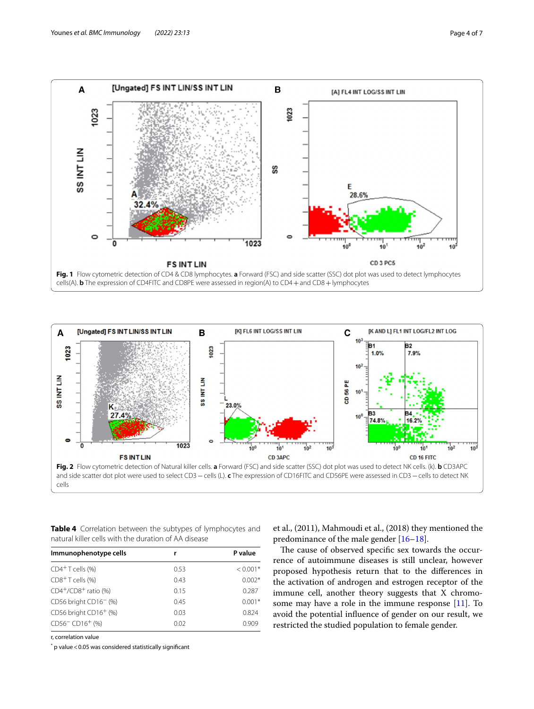

<span id="page-3-0"></span>

<span id="page-3-2"></span><span id="page-3-1"></span>**Table 4** Correlation between the subtypes of lymphocytes and natural killer cells with the duration of AA disease

| Immunophenotype cells                   | r    | P value    |
|-----------------------------------------|------|------------|
| $CD4+T$ cells $(\%)$                    | 0.53 | $< 0.001*$ |
| $CD8+$ T cells (%)                      | 0.43 | $0.002*$   |
| $CD4^+/CD8^+$ ratio (%)                 | 0.15 | 0.287      |
| CD56 bright CD16 <sup>-</sup> (%)       | 0.45 | $0.001*$   |
| CD56 bright CD16 <sup>+</sup> (%)       | 0.03 | 0.824      |
| CD56 <sup>-</sup> CD16 <sup>+</sup> (%) | 0.02 | 0.909      |

r, correlation value

 $^*$  p value < 0.05 was considered statistically significant

et al., (2011), Mahmoudi et al., (2018) they mentioned the predominance of the male gender [\[16](#page-6-8)[–18\]](#page-6-9).

The cause of observed specific sex towards the occurrence of autoimmune diseases is still unclear, however proposed hypothesis return that to the diferences in the activation of androgen and estrogen receptor of the immune cell, another theory suggests that X chromosome may have a role in the immune response [\[11\]](#page-6-6). To avoid the potential infuence of gender on our result, we restricted the studied population to female gender.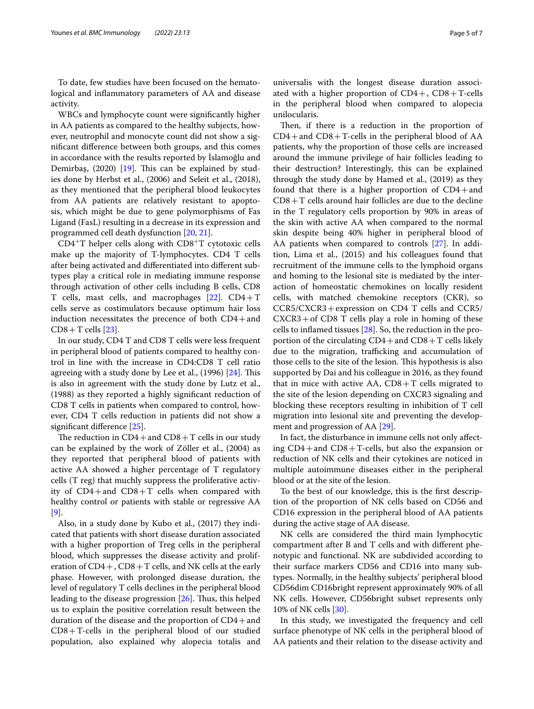To date, few studies have been focused on the hematological and infammatory parameters of AA and disease activity.

WBCs and lymphocyte count were signifcantly higher in AA patients as compared to the healthy subjects, however, neutrophil and monocyte count did not show a signifcant diference between both groups, and this comes in accordance with the results reported by İslamoğlu and Demirbaş,  $(2020)$  [\[19](#page-6-10)]. This can be explained by studies done by Herbst et al., (2006) and Seleit et al., (2018), as they mentioned that the peripheral blood leukocytes from AA patients are relatively resistant to apoptosis, which might be due to gene polymorphisms of Fas Ligand (FasL) resulting in a decrease in its expression and programmed cell death dysfunction [[20,](#page-6-11) [21\]](#page-6-12).

CD4<sup>+</sup>T helper cells along with CD8<sup>+</sup>T cytotoxic cells make up the majority of T-lymphocytes. CD4 T cells after being activated and diferentiated into diferent subtypes play a critical role in mediating immune response through activation of other cells including B cells, CD8 T cells, mast cells, and macrophages  $[22]$  $[22]$ . CD4+T cells serve as costimulators because optimum hair loss induction necessitates the precence of both  $CD4+$ and  $CD8+T$  cells [[23\]](#page-6-14).

In our study, CD4 T and CD8 T cells were less frequent in peripheral blood of patients compared to healthy control in line with the increase in CD4:CD8 T cell ratio agreeing with a study done by Lee et al.,  $(1996)$  [\[24](#page-6-15)]. This is also in agreement with the study done by Lutz et al., (1988) as they reported a highly signifcant reduction of CD8 T cells in patients when compared to control, however, CD4 T cells reduction in patients did not show a significant difference [\[25](#page-6-16)].

The reduction in  $CD4+$  and  $CD8+T$  cells in our study can be explained by the work of Zöller et al., (2004) as they reported that peripheral blood of patients with active AA showed a higher percentage of T regulatory cells (T reg) that muchly suppress the proliferative activity of  $CD4+$ and  $CD8+T$  cells when compared with healthy control or patients with stable or regressive AA [[9\]](#page-6-4).

Also, in a study done by Kubo et al., (2017) they indicated that patients with short disease duration associated with a higher proportion of Treg cells in the peripheral blood, which suppresses the disease activity and proliferation of  $CD4+$ ,  $CD8+T$  cells, and NK cells at the early phase. However, with prolonged disease duration, the level of regulatory T cells declines in the peripheral blood leading to the disease progression  $[26]$  $[26]$ . Thus, this helped us to explain the positive correlation result between the duration of the disease and the proportion of  $CD4+$ and  $CD8+T$ -cells in the peripheral blood of our studied population, also explained why alopecia totalis and universalis with the longest disease duration associated with a higher proportion of  $CD4+$ ,  $CD8+T$ -cells in the peripheral blood when compared to alopecia unilocularis.

Then, if there is a reduction in the proportion of  $CD4+$ and  $CD8+T$ -cells in the peripheral blood of AA patients, why the proportion of those cells are increased around the immune privilege of hair follicles leading to their destruction? Interestingly, this can be explained through the study done by Hamed et al., (2019) as they found that there is a higher proportion of  $CD4+$ and  $CD8+T$  cells around hair follicles are due to the decline in the T regulatory cells proportion by 90% in areas of the skin with active AA when compared to the normal skin despite being 40% higher in peripheral blood of AA patients when compared to controls [[27\]](#page-6-18). In addition, Lima et al., (2015) and his colleagues found that recruitment of the immune cells to the lymphoid organs and homing to the lesional site is mediated by the interaction of homeostatic chemokines on locally resident cells, with matched chemokine receptors (CKR), so CCR5/CXCR3+expression on CD4 T cells and CCR5/  $CXCR3 + of CDS T$  cells play a role in homing of these cells to infamed tissues [[28\]](#page-6-19). So, the reduction in the proportion of the circulating  $CD4+$  and  $CD8+T$  cells likely due to the migration, trafficking and accumulation of those cells to the site of the lesion. This hypothesis is also supported by Dai and his colleague in 2016, as they found that in mice with active  $AA$ ,  $CD8+T$  cells migrated to the site of the lesion depending on CXCR3 signaling and blocking these receptors resulting in inhibition of T cell migration into lesional site and preventing the development and progression of AA [\[29\]](#page-6-20).

In fact, the disturbance in immune cells not only afecting  $CD4+$ and  $CD8+$ T-cells, but also the expansion or reduction of NK cells and their cytokines are noticed in multiple autoimmune diseases either in the peripheral blood or at the site of the lesion.

To the best of our knowledge, this is the frst description of the proportion of NK cells based on CD56 and CD16 expression in the peripheral blood of AA patients during the active stage of AA disease.

NK cells are considered the third main lymphocytic compartment after B and T cells and with diferent phenotypic and functional. NK are subdivided according to their surface markers CD56 and CD16 into many subtypes. Normally, in the healthy subjects' peripheral blood CD56dim CD16bright represent approximately 90% of all NK cells. However, CD56bright subset represents only 10% of NK cells [[30\]](#page-6-21).

In this study, we investigated the frequency and cell surface phenotype of NK cells in the peripheral blood of AA patients and their relation to the disease activity and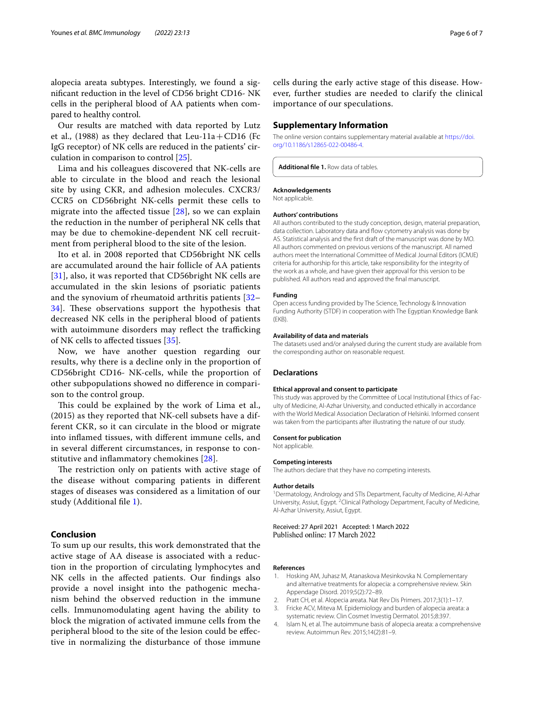alopecia areata subtypes. Interestingly, we found a signifcant reduction in the level of CD56 bright CD16- NK cells in the peripheral blood of AA patients when compared to healthy control.

Our results are matched with data reported by Lutz et al., (1988) as they declared that Leu-11a + CD16 (Fc IgG receptor) of NK cells are reduced in the patients' circulation in comparison to control [\[25\]](#page-6-16).

Lima and his colleagues discovered that NK-cells are able to circulate in the blood and reach the lesional site by using CKR, and adhesion molecules. CXCR3/ CCR5 on CD56bright NK-cells permit these cells to migrate into the afected tissue [[28](#page-6-19)], so we can explain the reduction in the number of peripheral NK cells that may be due to chemokine-dependent NK cell recruitment from peripheral blood to the site of the lesion.

Ito et al. in 2008 reported that CD56bright NK cells are accumulated around the hair follicle of AA patients [[31](#page-6-22)], also, it was reported that CD56bright NK cells are accumulated in the skin lesions of psoriatic patients and the synovium of rheumatoid arthritis patients [[32–](#page-6-23) 34. These observations support the hypothesis that decreased NK cells in the peripheral blood of patients with autoimmune disorders may reflect the trafficking of NK cells to afected tissues [[35\]](#page-6-25).

Now, we have another question regarding our results, why there is a decline only in the proportion of CD56bright CD16- NK-cells, while the proportion of other subpopulations showed no diference in comparison to the control group.

This could be explained by the work of Lima et al., (2015) as they reported that NK-cell subsets have a different CKR, so it can circulate in the blood or migrate into infamed tissues, with diferent immune cells, and in several diferent circumstances, in response to constitutive and infammatory chemokines [\[28](#page-6-19)].

The restriction only on patients with active stage of the disease without comparing patients in diferent stages of diseases was considered as a limitation of our study (Additional file [1\)](#page-5-4).

# **Conclusion**

To sum up our results, this work demonstrated that the active stage of AA disease is associated with a reduction in the proportion of circulating lymphocytes and NK cells in the afected patients. Our fndings also provide a novel insight into the pathogenic mechanism behind the observed reduction in the immune cells. Immunomodulating agent having the ability to block the migration of activated immune cells from the peripheral blood to the site of the lesion could be efective in normalizing the disturbance of those immune cells during the early active stage of this disease. However, further studies are needed to clarify the clinical importance of our speculations.

# **Supplementary Information**

The online version contains supplementary material available at [https://doi.](https://doi.org/10.1186/s12865-022-00486-4) [org/10.1186/s12865-022-00486-4](https://doi.org/10.1186/s12865-022-00486-4).

<span id="page-5-4"></span>**Additional fle 1.** Row data of tables.

#### **Acknowledgements**

Not applicable.

#### **Authors' contributions**

All authors contributed to the study conception, design, material preparation, data collection. Laboratory data and flow cytometry analysis was done by AS. Statistical analysis and the frst draft of the manuscript was done by MO. All authors commented on previous versions of the manuscript. All named authors meet the International Committee of Medical Journal Editors (ICMJE) criteria for authorship for this article, take responsibility for the integrity of the work as a whole, and have given their approval for this version to be published. All authors read and approved the fnal manuscript.

#### **Funding**

Open access funding provided by The Science, Technology & Innovation Funding Authority (STDF) in cooperation with The Egyptian Knowledge Bank (EKB).

#### **Availability of data and materials**

The datasets used and/or analysed during the current study are available from the corresponding author on reasonable request.

# **Declarations**

### **Ethical approval and consent to participate**

This study was approved by the Committee of Local Institutional Ethics of Faculty of Medicine, Al-Azhar University, and conducted ethically in accordance with the World Medical Association Declaration of Helsinki. Informed consent was taken from the participants after illustrating the nature of our study.

#### **Consent for publication**

Not applicable.

#### **Competing interests**

The authors declare that they have no competing interests.

#### **Author details**

<sup>1</sup> Dermatology, Andrology and STIs Department, Faculty of Medicine, Al-Azhar University, Assiut, Egypt. <sup>2</sup> Clinical Pathology Department, Faculty of Medicine, Al-Azhar University, Assiut, Egypt.

Received: 27 April 2021 Accepted: 1 March 2022 Published online: 17 March 2022

#### **References**

- <span id="page-5-0"></span>1. Hosking AM, Juhasz M, Atanaskova Mesinkovska N. Complementary and alternative treatments for alopecia: a comprehensive review. Skin Appendage Disord. 2019;5(2):72–89.
- <span id="page-5-1"></span>2. Pratt CH, et al. Alopecia areata. Nat Rev Dis Primers. 2017;3(1):1–17.
- <span id="page-5-2"></span>3. Fricke ACV, Miteva M. Epidemiology and burden of alopecia areata: a systematic review. Clin Cosmet Investig Dermatol. 2015;8:397.
- <span id="page-5-3"></span>4. Islam N, et al. The autoimmune basis of alopecia areata: a comprehensive review. Autoimmun Rev. 2015;14(2):81–9.